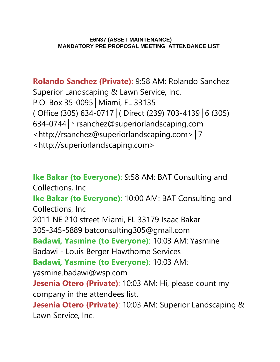## **E6N37 (ASSET MAINTENANCE) MANDATORY PRE PROPOSAL MEETING ATTENDANCE LIST**

**Rolando Sanchez (Private)**: 9:58 AM: Rolando Sanchez Superior Landscaping & Lawn Service, Inc. P.O. Box 35-0095│Miami, FL 33135 ( Office (305) 634-0717│( Direct (239) 703-4139│6 (305) 634-0744│\* rsanchez@superiorlandscaping.com <http://rsanchez@superiorlandscaping.com>│7 <http://superiorlandscaping.com>

**Ike Bakar (to Everyone)**: 9:58 AM: BAT Consulting and Collections, Inc **Ike Bakar (to Everyone)**: 10:00 AM: BAT Consulting and Collections, Inc 2011 NE 210 street Miami, FL 33179 Isaac Bakar 305-345-5889 batconsulting305@gmail.com **Badawi, Yasmine (to Everyone)**: 10:03 AM: Yasmine Badawi - Louis Berger Hawthorne Services **Badawi, Yasmine (to Everyone)**: 10:03 AM: yasmine.badawi@wsp.com **Jesenia Otero (Private)**: 10:03 AM: Hi, please count my company in the attendees list. **Jesenia Otero (Private)**: 10:03 AM: Superior Landscaping & Lawn Service, Inc.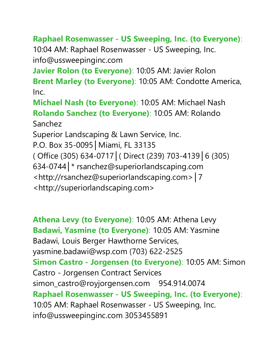## **Raphael Rosenwasser - US Sweeping, Inc. (to Everyone)**:

10:04 AM: Raphael Rosenwasser - US Sweeping, Inc. info@ussweepinginc.com

**Javier Rolon (to Everyone)**: 10:05 AM: Javier Rolon **Brent Marley (to Everyone)**: 10:05 AM: Condotte America, Inc.

**Michael Nash (to Everyone)**: 10:05 AM: Michael Nash **Rolando Sanchez (to Everyone)**: 10:05 AM: Rolando Sanchez

Superior Landscaping & Lawn Service, Inc.

P.O. Box 35-0095│Miami, FL 33135

( Office (305) 634-0717│( Direct (239) 703-4139│6 (305)

634-0744│\* rsanchez@superiorlandscaping.com

<http://rsanchez@superiorlandscaping.com>│7

<http://superiorlandscaping.com>

**Athena Levy (to Everyone)**: 10:05 AM: Athena Levy **Badawi, Yasmine (to Everyone)**: 10:05 AM: Yasmine Badawi, Louis Berger Hawthorne Services, yasmine.badawi@wsp.com (703) 622-2525 **Simon Castro - Jorgensen (to Everyone)**: 10:05 AM: Simon Castro - Jorgensen Contract Services simon\_castro@royjorgensen.com 954.914.0074 **Raphael Rosenwasser - US Sweeping, Inc. (to Everyone)**: 10:05 AM: Raphael Rosenwasser - US Sweeping, Inc. info@ussweepinginc.com 3053455891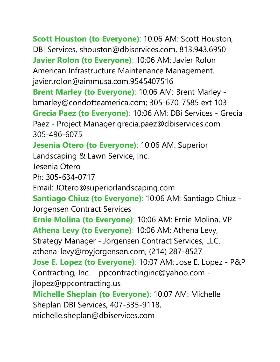**Scott Houston (to Everyone)**: 10:06 AM: Scott Houston, DBI Services, shouston@dbiservices.com, 813.943.6950 **Javier Rolon (to Everyone)**: 10:06 AM: Javier Rolon American Infrastructure Maintenance Management. javier.rolon@aimmusa.com,9545407516 **Brent Marley (to Everyone)**: 10:06 AM: Brent Marley bmarley@condotteamerica.com; 305-670-7585 ext 103 **Grecia Paez (to Everyone)**: 10:06 AM: DBi Services - Grecia Paez - Project Manager grecia.paez@dbiservices.com 305-496-6075 **Jesenia Otero (to Everyone)**: 10:06 AM: Superior Landscaping & Lawn Service, Inc. Jesenia Otero Ph: 305-634-0717 Email: JOtero@superiorlandscaping.com **Santiago Chiuz (to Everyone)**: 10:06 AM: Santiago Chiuz - Jorgensen Contract Services **Ernie Molina (to Everyone)**: 10:06 AM: Ernie Molina, VP **Athena Levy (to Everyone)**: 10:06 AM: Athena Levy, Strategy Manager - Jorgensen Contract Services, LLC. athena\_levy@royjorgensen.com, (214) 287-8527 **Jose E. Lopez (to Everyone)**: 10:07 AM: Jose E. Lopez - P&P Contracting, Inc. ppcontractinginc@yahoo.com jlopez@ppcontracting.us **Michelle Sheplan (to Everyone)**: 10:07 AM: Michelle Sheplan DBI Services, 407-335-9118, michelle.sheplan@dbiservices.com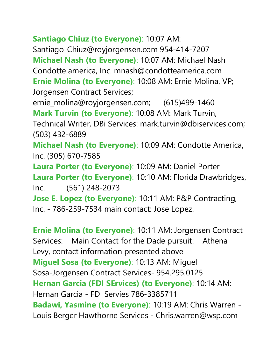**Santiago Chiuz (to Everyone)**: 10:07 AM: Santiago\_Chiuz@royjorgensen.com 954-414-7207 **Michael Nash (to Everyone)**: 10:07 AM: Michael Nash Condotte america, Inc. mnash@condotteamerica.com **Ernie Molina (to Everyone)**: 10:08 AM: Ernie Molina, VP; Jorgensen Contract Services; ernie\_molina@royjorgensen.com; (615)499-1460 **Mark Turvin (to Everyone)**: 10:08 AM: Mark Turvin, Technical Writer, DBi Services: mark.turvin@dbiservices.com; (503) 432-6889 **Michael Nash (to Everyone)**: 10:09 AM: Condotte America, Inc. (305) 670-7585 **Laura Porter (to Everyone)**: 10:09 AM: Daniel Porter **Laura Porter (to Everyone)**: 10:10 AM: Florida Drawbridges, Inc. (561) 248-2073 **Jose E. Lopez (to Everyone)**: 10:11 AM: P&P Contracting, Inc. - 786-259-7534 main contact: Jose Lopez.

**Ernie Molina (to Everyone)**: 10:11 AM: Jorgensen Contract Services: Main Contact for the Dade pursuit: Athena Levy, contact information presented above **Miguel Sosa (to Everyone)**: 10:13 AM: Miguel Sosa-Jorgensen Contract Services- 954.295.0125 **Hernan Garcia (FDI SErvices) (to Everyone)**: 10:14 AM: Hernan Garcia - FDI Servies 786-3385711 **Badawi, Yasmine (to Everyone)**: 10:19 AM: Chris Warren - Louis Berger Hawthorne Services - Chris.warren@wsp.com